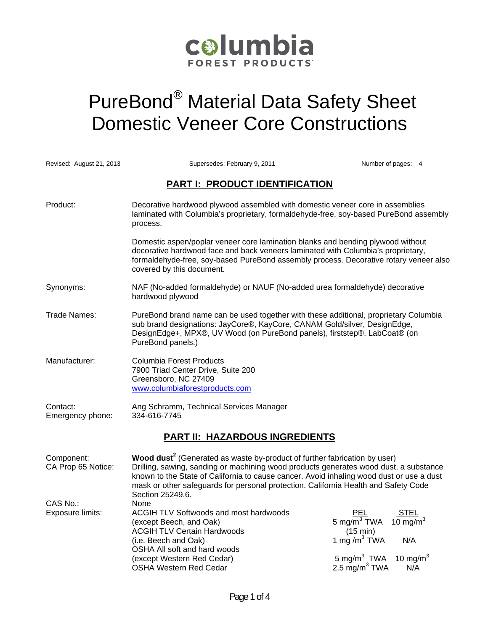

# PureBond® Material Data Safety Sheet Domestic Veneer Core Constructions

| Revised: August 21, 2013              | Supersedes: February 9, 2011                                                                                                                                                                                                                                                                                                                                                          | Number of pages: 4                                                                                                                                          |  |
|---------------------------------------|---------------------------------------------------------------------------------------------------------------------------------------------------------------------------------------------------------------------------------------------------------------------------------------------------------------------------------------------------------------------------------------|-------------------------------------------------------------------------------------------------------------------------------------------------------------|--|
| <b>PART I: PRODUCT IDENTIFICATION</b> |                                                                                                                                                                                                                                                                                                                                                                                       |                                                                                                                                                             |  |
| Product:                              | Decorative hardwood plywood assembled with domestic veneer core in assemblies<br>laminated with Columbia's proprietary, formaldehyde-free, soy-based PureBond assembly<br>process.                                                                                                                                                                                                    |                                                                                                                                                             |  |
|                                       | Domestic aspen/poplar veneer core lamination blanks and bending plywood without<br>decorative hardwood face and back veneers laminated with Columbia's proprietary,<br>formaldehyde-free, soy-based PureBond assembly process. Decorative rotary veneer also<br>covered by this document.                                                                                             |                                                                                                                                                             |  |
| Synonyms:                             | NAF (No-added formaldehyde) or NAUF (No-added urea formaldehyde) decorative<br>hardwood plywood                                                                                                                                                                                                                                                                                       |                                                                                                                                                             |  |
| Trade Names:                          | PureBond brand name can be used together with these additional, proprietary Columbia<br>sub brand designations: JayCore®, KayCore, CANAM Gold/silver, DesignEdge,<br>DesignEdge+, MPX®, UV Wood (on PureBond panels), firststep®, LabCoat® (on<br>PureBond panels.)                                                                                                                   |                                                                                                                                                             |  |
| Manufacturer:                         | <b>Columbia Forest Products</b><br>7900 Triad Center Drive, Suite 200<br>Greensboro, NC 27409<br>www.columbiaforestproducts.com                                                                                                                                                                                                                                                       |                                                                                                                                                             |  |
| Contact:<br>Emergency phone:          | Ang Schramm, Technical Services Manager<br>334-616-7745                                                                                                                                                                                                                                                                                                                               |                                                                                                                                                             |  |
| <b>PART II: HAZARDOUS INGREDIENTS</b> |                                                                                                                                                                                                                                                                                                                                                                                       |                                                                                                                                                             |  |
| Component:<br>CA Prop 65 Notice:      | Wood dust <sup>2</sup> (Generated as waste by-product of further fabrication by user)<br>Drilling, sawing, sanding or machining wood products generates wood dust, a substance<br>known to the State of California to cause cancer. Avoid inhaling wood dust or use a dust<br>mask or other safeguards for personal protection. California Health and Safety Code<br>Section 25249.6. |                                                                                                                                                             |  |
| CAS No.:<br>Exposure limits:          | None<br>ACGIH TLV Softwoods and most hardwoods<br>(except Beech, and Oak)<br><b>ACGIH TLV Certain Hardwoods</b><br>(i.e. Beech and Oak)<br>OSHA All soft and hard woods<br>(except Western Red Cedar)<br><b>OSHA Western Red Cedar</b>                                                                                                                                                | PEL<br>STEL<br>10 mg/ $m3$<br>5 mg/ $\overline{m}^3$ TWA<br>(15 min)<br>1 mg / $m^3$ TWA<br>N/A<br>5 mg/m $3$ TWA<br>10 mg/m $^3$<br>2.5 $mg/m3 TWA$<br>N/A |  |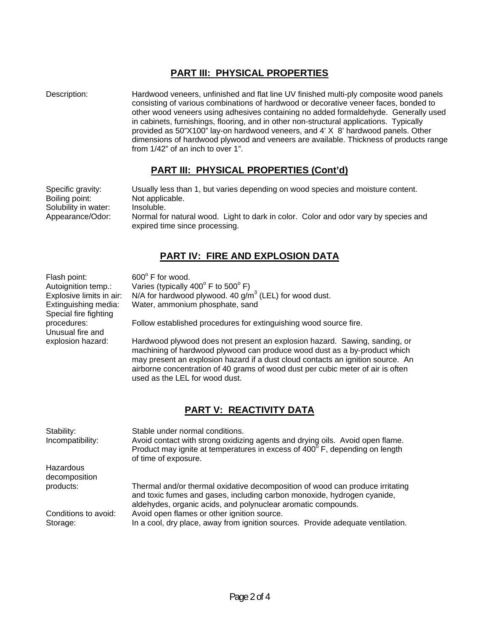#### **PART III: PHYSICAL PROPERTIES**

Description: Hardwood veneers, unfinished and flat line UV finished multi-ply composite wood panels consisting of various combinations of hardwood or decorative veneer faces, bonded to other wood veneers using adhesives containing no added formaldehyde. Generally used in cabinets, furnishings, flooring, and in other non-structural applications. Typically provided as 50"X100" lay-on hardwood veneers, and 4' X 8' hardwood panels. Other dimensions of hardwood plywood and veneers are available. Thickness of products range from 1/42" of an inch to over 1".

#### **PART III: PHYSICAL PROPERTIES (Cont'd)**

Specific gravity: Usually less than 1, but varies depending on wood species and moisture content. Boiling point: Not applicable.<br>Solubility in water: Insoluble. Solubility in water: Appearance/Odor: Normal for natural wood. Light to dark in color. Color and odor vary by species and expired time since processing.

### **PART IV: FIRE AND EXPLOSION DATA**

| Flash point:<br>Autoignition temp.:<br>Explosive limits in air:<br>Extinguishing media:<br>Special fire fighting | 600° F for wood.<br>Varies (typically $400^{\circ}$ F to $500^{\circ}$ F)<br>N/A for hardwood plywood. 40 $g/m3$ (LEL) for wood dust.<br>Water, ammonium phosphate, sand                                                                                                                                                                                        |  |
|------------------------------------------------------------------------------------------------------------------|-----------------------------------------------------------------------------------------------------------------------------------------------------------------------------------------------------------------------------------------------------------------------------------------------------------------------------------------------------------------|--|
| procedures:<br>Unusual fire and                                                                                  | Follow established procedures for extinguishing wood source fire.                                                                                                                                                                                                                                                                                               |  |
| explosion hazard:                                                                                                | Hardwood plywood does not present an explosion hazard. Sawing, sanding, or<br>machining of hardwood plywood can produce wood dust as a by-product which<br>may present an explosion hazard if a dust cloud contacts an ignition source. An<br>airborne concentration of 40 grams of wood dust per cubic meter of air is often<br>used as the LEL for wood dust. |  |
|                                                                                                                  | PART V: REACTIVITY DATA                                                                                                                                                                                                                                                                                                                                         |  |
| Stability:<br>Incompatibility:                                                                                   | Stable under normal conditions.<br>Avoid contact with strong oxidizing agents and drying oils. Avoid open flame.<br>Product may ignite at temperatures in excess of 400° F, depending on length<br>of time of exposure.                                                                                                                                         |  |
| Hazardous<br>decomposition                                                                                       |                                                                                                                                                                                                                                                                                                                                                                 |  |
| products:                                                                                                        | Thermal and/or thermal oxidative decomposition of wood can produce irritating<br>and toxic fumes and gases, including carbon monoxide, hydrogen cyanide,<br>aldehydes, organic acids, and polynuclear aromatic compounds.                                                                                                                                       |  |
| Conditions to avoid:                                                                                             | Avoid open flames or other ignition source.                                                                                                                                                                                                                                                                                                                     |  |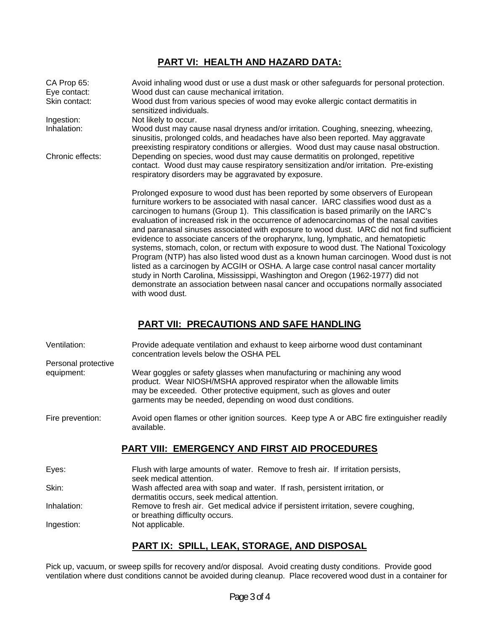## **PART VI: HEALTH AND HAZARD DATA:**

| CA Prop 65:<br>Eye contact: | Avoid inhaling wood dust or use a dust mask or other safeguards for personal protection.<br>Wood dust can cause mechanical irritation.                                                                                                                                                                                                                                                                                                                                                                                                                                                                                                                                                                                                                                                                                                                                                                                                                                                                                |
|-----------------------------|-----------------------------------------------------------------------------------------------------------------------------------------------------------------------------------------------------------------------------------------------------------------------------------------------------------------------------------------------------------------------------------------------------------------------------------------------------------------------------------------------------------------------------------------------------------------------------------------------------------------------------------------------------------------------------------------------------------------------------------------------------------------------------------------------------------------------------------------------------------------------------------------------------------------------------------------------------------------------------------------------------------------------|
| Skin contact:               | Wood dust from various species of wood may evoke allergic contact dermatitis in<br>sensitized individuals.                                                                                                                                                                                                                                                                                                                                                                                                                                                                                                                                                                                                                                                                                                                                                                                                                                                                                                            |
| Ingestion:                  | Not likely to occur.                                                                                                                                                                                                                                                                                                                                                                                                                                                                                                                                                                                                                                                                                                                                                                                                                                                                                                                                                                                                  |
| Inhalation:                 | Wood dust may cause nasal dryness and/or irritation. Coughing, sneezing, wheezing,<br>sinusitis, prolonged colds, and headaches have also been reported. May aggravate<br>preexisting respiratory conditions or allergies. Wood dust may cause nasal obstruction.                                                                                                                                                                                                                                                                                                                                                                                                                                                                                                                                                                                                                                                                                                                                                     |
| Chronic effects:            | Depending on species, wood dust may cause dermatitis on prolonged, repetitive<br>contact. Wood dust may cause respiratory sensitization and/or irritation. Pre-existing<br>respiratory disorders may be aggravated by exposure.                                                                                                                                                                                                                                                                                                                                                                                                                                                                                                                                                                                                                                                                                                                                                                                       |
|                             | Prolonged exposure to wood dust has been reported by some observers of European<br>furniture workers to be associated with nasal cancer. IARC classifies wood dust as a<br>carcinogen to humans (Group 1). This classification is based primarily on the IARC's<br>evaluation of increased risk in the occurrence of adenocarcinomas of the nasal cavities<br>and paranasal sinuses associated with exposure to wood dust. IARC did not find sufficient<br>evidence to associate cancers of the oropharynx, lung, lymphatic, and hematopietic<br>systems, stomach, colon, or rectum with exposure to wood dust. The National Toxicology<br>Program (NTP) has also listed wood dust as a known human carcinogen. Wood dust is not<br>listed as a carcinogen by ACGIH or OSHA. A large case control nasal cancer mortality<br>study in North Carolina, Mississippi, Washington and Oregon (1962-1977) did not<br>demonstrate an association between nasal cancer and occupations normally associated<br>with wood dust. |

#### **PART VII: PRECAUTIONS AND SAFE HANDLING**

| Ventilation:        | Provide adequate ventilation and exhaust to keep airborne wood dust contaminant<br>concentration levels below the OSHA PEL                                                                                                                                                               |
|---------------------|------------------------------------------------------------------------------------------------------------------------------------------------------------------------------------------------------------------------------------------------------------------------------------------|
| Personal protective |                                                                                                                                                                                                                                                                                          |
| equipment:          | Wear goggles or safety glasses when manufacturing or machining any wood<br>product. Wear NIOSH/MSHA approved respirator when the allowable limits<br>may be exceeded. Other protective equipment, such as gloves and outer<br>garments may be needed, depending on wood dust conditions. |
| Fire prevention:    | Avoid open flames or other ignition sources. Keep type A or ABC fire extinguisher readily<br>available.                                                                                                                                                                                  |
|                     | <b>PART VIII: EMERGENCY AND FIRST AID PROCEDURES</b>                                                                                                                                                                                                                                     |
| Eyes:               | Flush with large amounts of water. Remove to fresh air. If irritation persists,<br>seek medical attention.                                                                                                                                                                               |
| Skin:               | Wash affected area with soap and water. If rash, persistent irritation, or                                                                                                                                                                                                               |

Inhalation: Remove to fresh air. Get medical advice if persistent irritation, severe coughing, or breathing difficulty occurs.

Ingestion: Not applicable.

#### **PART IX: SPILL, LEAK, STORAGE, AND DISPOSAL**

dermatitis occurs, seek medical attention.

Pick up, vacuum, or sweep spills for recovery and/or disposal. Avoid creating dusty conditions. Provide good ventilation where dust conditions cannot be avoided during cleanup. Place recovered wood dust in a container for